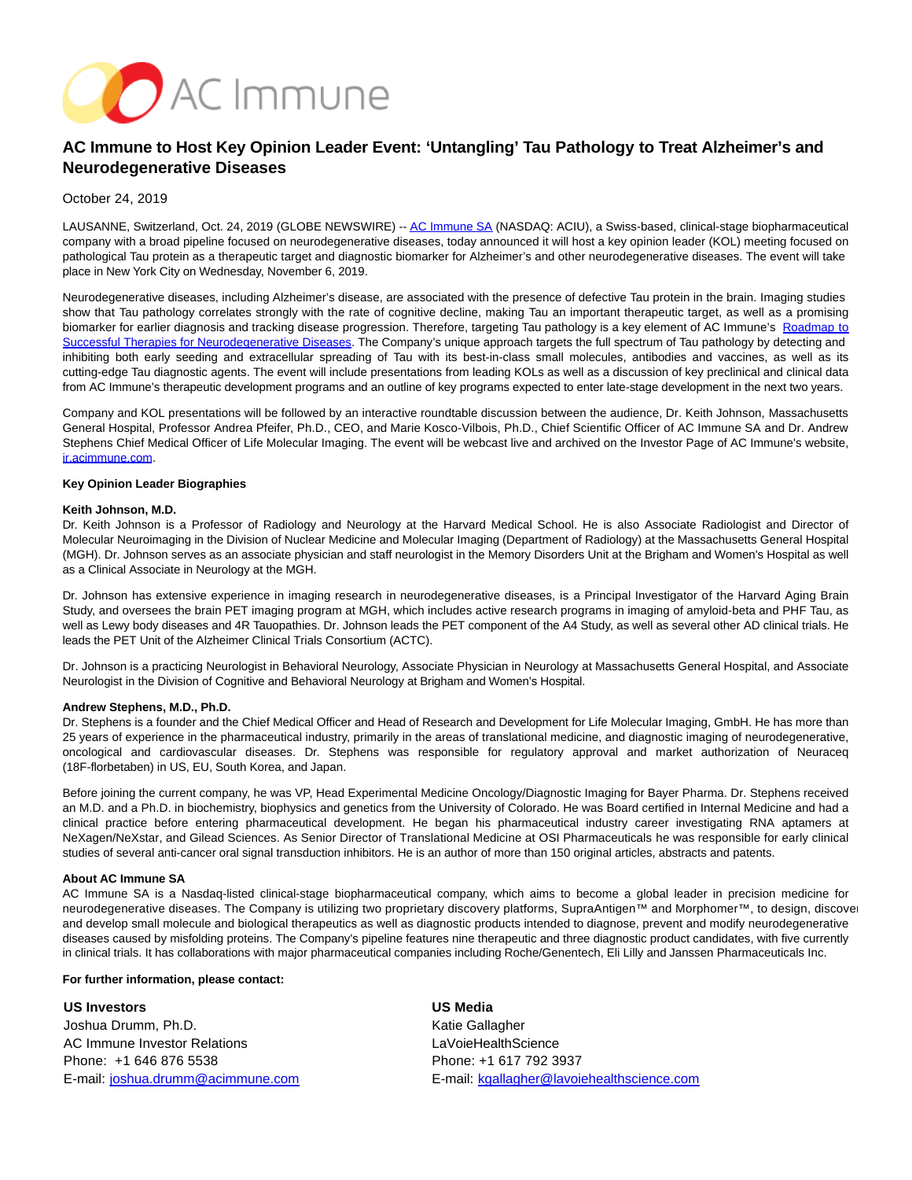

# **AC Immune to Host Key Opinion Leader Event: 'Untangling' Tau Pathology to Treat Alzheimer's and Neurodegenerative Diseases**

### October 24, 2019

LAUSANNE, Switzerland, Oct. 24, 2019 (GLOBE NEWSWIRE) -[- AC Immune SA \(](https://www.globenewswire.com/Tracker?data=ZzWX4P_l5ODmlEXWJXcHYxTogjqPy3DoqfgwHMSsrIWmzkYQJ5MwZXPcJBE3a4LJT8RinmLvmxayaIIqrQV5Dg==)NASDAQ: ACIU), a Swiss-based, clinical-stage biopharmaceutical company with a broad pipeline focused on neurodegenerative diseases, today announced it will host a key opinion leader (KOL) meeting focused on pathological Tau protein as a therapeutic target and diagnostic biomarker for Alzheimer's and other neurodegenerative diseases. The event will take place in New York City on Wednesday, November 6, 2019.

Neurodegenerative diseases, including Alzheimer's disease, are associated with the presence of defective Tau protein in the brain. Imaging studies show that Tau pathology correlates strongly with the rate of cognitive decline, making Tau an important therapeutic target, as well as a promising biomarker for earlier diagnosis and tracking disease progression. Therefore, targeting Tau pathology is a key element of AC Immune's [Roadmap to](https://www.globenewswire.com/Tracker?data=_vaMqrJd9WytLP19p7KB9-k6Oe62g6CMVFqpGcibV0jmj0Krf9UF5A92jasaJ_XsuWUUuPHHc9IzgdDJhRQCx82Bhx8jWSOg5DZYZ6yOcOYH4csRZ1IcWq8bGmaRMVqH01UJbG3609hJ5JwM_R0uzknn-i5WGxAHNziJp6vXc1c=) Successful Therapies for Neurodegenerative Diseases. The Company's unique approach targets the full spectrum of Tau pathology by detecting and inhibiting both early seeding and extracellular spreading of Tau with its best-in-class small molecules, antibodies and vaccines, as well as its cutting-edge Tau diagnostic agents. The event will include presentations from leading KOLs as well as a discussion of key preclinical and clinical data from AC Immune's therapeutic development programs and an outline of key programs expected to enter late-stage development in the next two years.

Company and KOL presentations will be followed by an interactive roundtable discussion between the audience, Dr. Keith Johnson, Massachusetts General Hospital, Professor Andrea Pfeifer, Ph.D., CEO, and Marie Kosco-Vilbois, Ph.D., Chief Scientific Officer of AC Immune SA and Dr. Andrew Stephens Chief Medical Officer of Life Molecular Imaging. The event will be webcast live and archived on the Investor Page of AC Immune's website, [ir.acimmune.com.](https://www.globenewswire.com/Tracker?data=d3MucIGGiDehciUUJ19VwU4sdH20v-CkPHC6gsNsiz8NDqya44a8aAIqU8Ly1kNjD70j7_z8q656FfFKAV58mw==)

## **Key Opinion Leader Biographies**

#### **Keith Johnson, M.D.**

Dr. Keith Johnson is a Professor of Radiology and Neurology at the Harvard Medical School. He is also Associate Radiologist and Director of Molecular Neuroimaging in the Division of Nuclear Medicine and Molecular Imaging (Department of Radiology) at the Massachusetts General Hospital (MGH). Dr. Johnson serves as an associate physician and staff neurologist in the Memory Disorders Unit at the Brigham and Women's Hospital as well as a Clinical Associate in Neurology at the MGH.

Dr. Johnson has extensive experience in imaging research in neurodegenerative diseases, is a Principal Investigator of the Harvard Aging Brain Study, and oversees the brain PET imaging program at MGH, which includes active research programs in imaging of amyloid-beta and PHF Tau, as well as Lewy body diseases and 4R Tauopathies. Dr. Johnson leads the PET component of the A4 Study, as well as several other AD clinical trials. He leads the PET Unit of the Alzheimer Clinical Trials Consortium (ACTC).

Dr. Johnson is a practicing Neurologist in Behavioral Neurology, Associate Physician in Neurology at Massachusetts General Hospital, and Associate Neurologist in the Division of Cognitive and Behavioral Neurology at Brigham and Women's Hospital.

#### **Andrew Stephens, M.D., Ph.D.**

Dr. Stephens is a founder and the Chief Medical Officer and Head of Research and Development for Life Molecular Imaging, GmbH. He has more than 25 years of experience in the pharmaceutical industry, primarily in the areas of translational medicine, and diagnostic imaging of neurodegenerative, oncological and cardiovascular diseases. Dr. Stephens was responsible for regulatory approval and market authorization of Neuraceq (18F-florbetaben) in US, EU, South Korea, and Japan.

Before joining the current company, he was VP, Head Experimental Medicine Oncology/Diagnostic Imaging for Bayer Pharma. Dr. Stephens received an M.D. and a Ph.D. in biochemistry, biophysics and genetics from the University of Colorado. He was Board certified in Internal Medicine and had a clinical practice before entering pharmaceutical development. He began his pharmaceutical industry career investigating RNA aptamers at NeXagen/NeXstar, and Gilead Sciences. As Senior Director of Translational Medicine at OSI Pharmaceuticals he was responsible for early clinical studies of several anti-cancer oral signal transduction inhibitors. He is an author of more than 150 original articles, abstracts and patents.

#### **About AC Immune SA**

AC Immune SA is a Nasdaq-listed clinical-stage biopharmaceutical company, which aims to become a global leader in precision medicine for neurodegenerative diseases. The Company is utilizing two proprietary discovery platforms, SupraAntigen™ and Morphomer™, to design, discover and develop small molecule and biological therapeutics as well as diagnostic products intended to diagnose, prevent and modify neurodegenerative diseases caused by misfolding proteins. The Company's pipeline features nine therapeutic and three diagnostic product candidates, with five currently in clinical trials. It has collaborations with major pharmaceutical companies including Roche/Genentech, Eli Lilly and Janssen Pharmaceuticals Inc.

#### **For further information, please contact:**

**US Investors** Joshua Drumm, Ph.D. AC Immune Investor Relations Phone: +1 646 876 5538 E-mail: [joshua.drumm@acimmune.com](mailto:joshua.drumm@acimmune.com) **US Media** Katie Gallagher **LaVoieHealthScience** Phone: +1 617 792 3937 E-mail: [kgallagher@lavoiehealthscience.com](mailto:kgallagher@lavoiehealthscience.com)